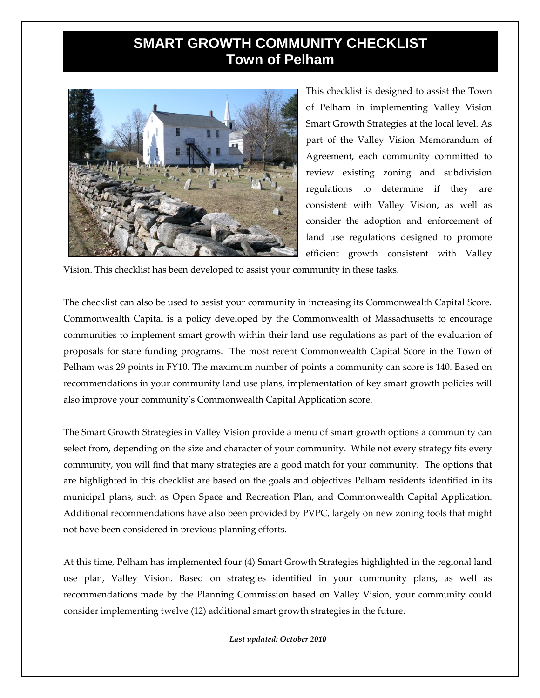## **SMART GROWTH COMMUNITY CHECKLIST Town of Pelham**



This checklist is designed to assist the Town of Pelham in implementing Valley Vision Smart Growth Strategies at the local level. As part of the Valley Vision Memorandum of Agreement, each community committed to review existing zoning and subdivision regulations to determine if they are consistent with Valley Vision, as well as consider the adoption and enforcement of land use regulations designed to promote efficient growth consistent with Valley

Vision. This checklist has been developed to assist your community in these tasks.

The checklist can also be used to assist your community in increasing its Commonwealth Capital Score. Commonwealth Capital is a policy developed by the Commonwealth of Massachusetts to encourage communities to implement smart growth within their land use regulations as part of the evaluation of proposals for state funding programs. The most recent Commonwealth Capital Score in the Town of Pelham was 29 points in FY10. The maximum number of points a community can score is 140. Based on recommendations in your community land use plans, implementation of key smart growth policies will also improve your community's Commonwealth Capital Application score.

The Smart Growth Strategies in Valley Vision provide a menu of smart growth options a community can select from, depending on the size and character of your community. While not every strategy fits every community, you will find that many strategies are a good match for your community. The options that are highlighted in this checklist are based on the goals and objectives Pelham residents identified in its municipal plans, such as Open Space and Recreation Plan, and Commonwealth Capital Application. Additional recommendations have also been provided by PVPC, largely on new zoning tools that might not have been considered in previous planning efforts.

At this time, Pelham has implemented four (4) Smart Growth Strategies highlighted in the regional land use plan, Valley Vision. Based on strategies identified in your community plans, as well as recommendations made by the Planning Commission based on Valley Vision, your community could consider implementing twelve (12) additional smart growth strategies in the future.

*Last updated: October 2010*